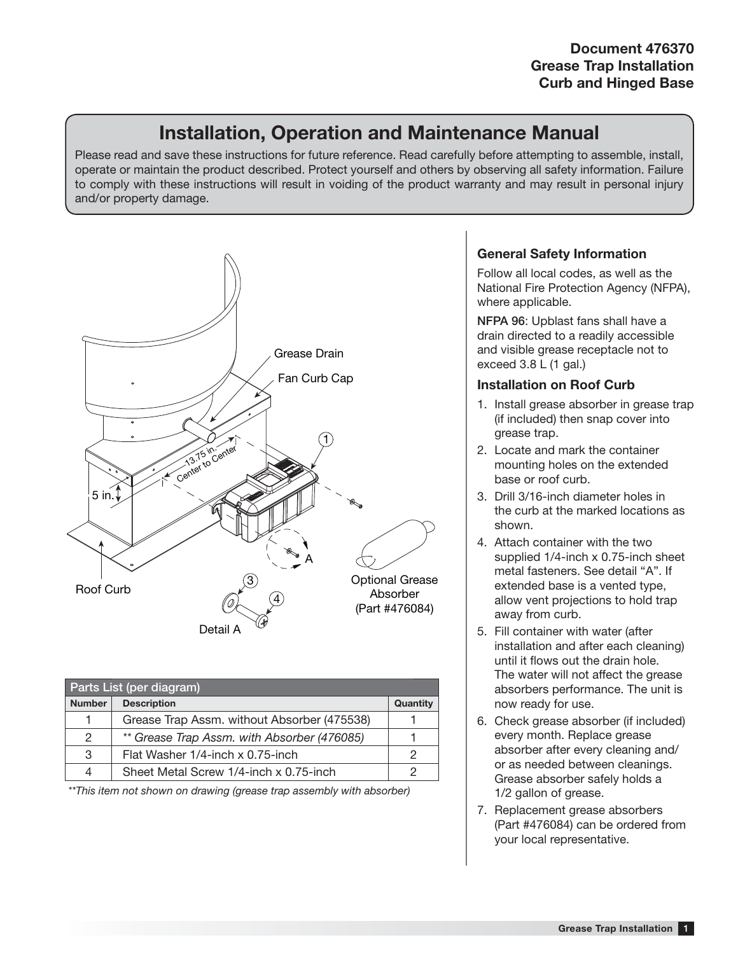## **Installation, Operation and Maintenance Manual**

Please read and save these instructions for future reference. Read carefully before attempting to assemble, install, operate or maintain the product described. Protect yourself and others by observing all safety information. Failure to comply with these instructions will result in voiding of the product warranty and may result in personal injury and/or property damage.



| Parts List (per diagram) |                                             |          |  |  |
|--------------------------|---------------------------------------------|----------|--|--|
| <b>Number</b>            | <b>Description</b>                          | Quantity |  |  |
| 1                        | Grease Trap Assm. without Absorber (475538) |          |  |  |
| 2                        | ** Grease Trap Assm. with Absorber (476085) |          |  |  |
| 3                        | Flat Washer 1/4-inch x 0.75-inch            |          |  |  |
| 4                        | Sheet Metal Screw 1/4-inch x 0.75-inch      |          |  |  |

\*\*This item not shown on drawing (grease trap assembly with absorber)

## **General Safety Information**

Follow all local codes, as well as the National Fire Protection Agency (NFPA), where applicable.

**NFPA 96**: Upblast fans shall have a drain directed to a readily accessible and visible grease receptacle not to exceed 3.8 L (1 gal.)

## **Installation on Roof Curb**

- 1. Install grease absorber in grease trap (if included) then snap cover into grease trap.
- 2. Locate and mark the container mounting holes on the extended base or roof curb.
- 3. Drill 3/16-inch diameter holes in the curb at the marked locations as shown.
- 4. Attach container with the two supplied 1/4-inch x 0.75-inch sheet metal fasteners. See detail "A". If extended base is a vented type, allow vent projections to hold trap away from curb.
- 5. Fill container with water (after installation and after each cleaning) until it flows out the drain hole. The water will not affect the grease absorbers performance. The unit is now ready for use.
- 6. Check grease absorber (if included) every month. Replace grease absorber after every cleaning and/ or as needed between cleanings. Grease absorber safely holds a 1/2 gallon of grease.
- 7. Replacement grease absorbers (Part #476084) can be ordered from your local representative.